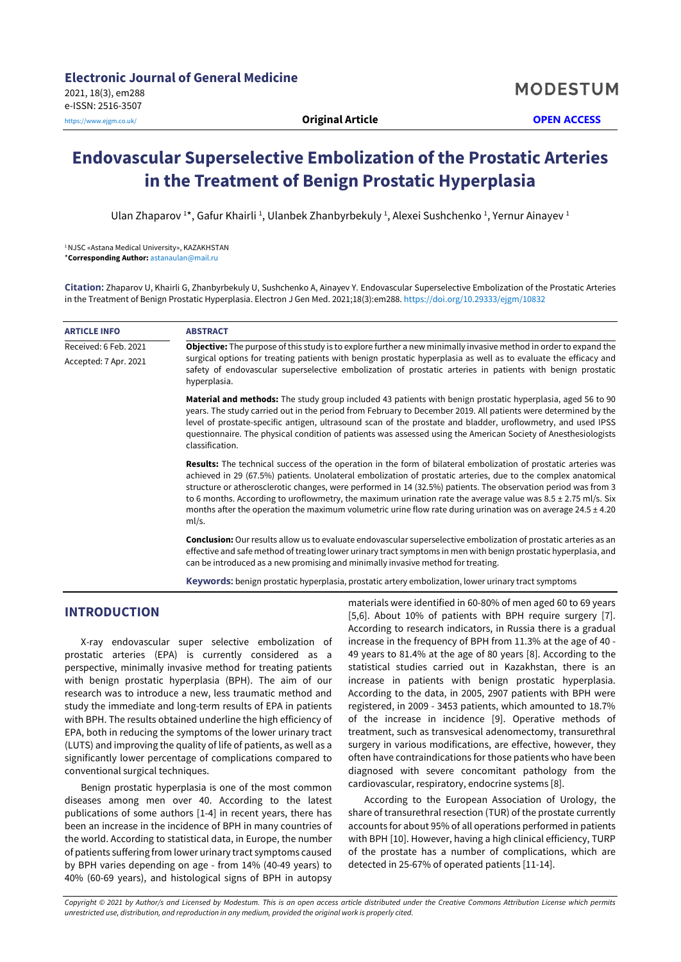# **Endovascular Superselective Embolization of the Prostatic Arteries in the Treatment of Benign Prostatic Hyperplasia**

Ulan Zhaparov 1\*, Gafur Khairli <sup>1</sup>, Ulanbek Zhanbyrbekuly <sup>1</sup>, Alexei Sushchenko <sup>1</sup>, Yernur Ainayev <sup>1</sup>

1NJSC «Astana Medical University», KAZAKHSTAN \***Corresponding Author:** [astanaulan@mail.ru](mailto:astanaulan@mail.ru)

**Citation:** Zhaparov U, Khairli G, Zhanbyrbekuly U, Sushchenko A, Ainayev Y. Endovascular Superselective Embolization of the Prostatic Arteries in the Treatment of Benign Prostatic Hyperplasia. Electron J Gen Med. 2021;18(3):em288. <https://doi.org/10.29333/ejgm/10832>

| <b>ARTICLE INFO</b>   | <b>ABSTRACT</b>                                                                                                                                                                                                                                                                                                                                                                                                                                                                                                                                                                                          |  |  |  |  |
|-----------------------|----------------------------------------------------------------------------------------------------------------------------------------------------------------------------------------------------------------------------------------------------------------------------------------------------------------------------------------------------------------------------------------------------------------------------------------------------------------------------------------------------------------------------------------------------------------------------------------------------------|--|--|--|--|
| Received: 6 Feb. 2021 | <b>Objective:</b> The purpose of this study is to explore further a new minimally invasive method in order to expand the                                                                                                                                                                                                                                                                                                                                                                                                                                                                                 |  |  |  |  |
| Accepted: 7 Apr. 2021 | surgical options for treating patients with benign prostatic hyperplasia as well as to evaluate the efficacy and<br>safety of endovascular superselective embolization of prostatic arteries in patients with benign prostatic<br>hyperplasia.                                                                                                                                                                                                                                                                                                                                                           |  |  |  |  |
|                       | <b>Material and methods:</b> The study group included 43 patients with benign prostatic hyperplasia, aged 56 to 90<br>years. The study carried out in the period from February to December 2019. All patients were determined by the<br>level of prostate-specific antigen, ultrasound scan of the prostate and bladder, uroflowmetry, and used IPSS<br>questionnaire. The physical condition of patients was assessed using the American Society of Anesthesiologists<br>classification.                                                                                                                |  |  |  |  |
|                       | <b>Results:</b> The technical success of the operation in the form of bilateral embolization of prostatic arteries was<br>achieved in 29 (67.5%) patients. Unolateral embolization of prostatic arteries, due to the complex anatomical<br>structure or atherosclerotic changes, were performed in 14 (32.5%) patients. The observation period was from 3<br>to 6 months. According to uroflowmetry, the maximum urination rate the average value was 8.5 ± 2.75 ml/s. Six<br>months after the operation the maximum volumetric urine flow rate during urination was on average $24.5 \pm 4.20$<br>ml/s. |  |  |  |  |
|                       | <b>Conclusion:</b> Our results allow us to evaluate endovascular superselective embolization of prostatic arteries as an<br>effective and safe method of treating lower urinary tract symptoms in men with benign prostatic hyperplasia, and<br>can be introduced as a new promising and minimally invasive method for treating.                                                                                                                                                                                                                                                                         |  |  |  |  |
|                       | <b>Keywords:</b> benign prostatic hyperplasia, prostatic artery embolization, lower urinary tract symptoms                                                                                                                                                                                                                                                                                                                                                                                                                                                                                               |  |  |  |  |

# **INTRODUCTION**

X-ray endovascular super selective embolization of prostatic arteries (EPA) is currently considered as a perspective, minimally invasive method for treating patients with benign prostatic hyperplasia (BPH). The aim of our research was to introduce a new, less traumatic method and study the immediate and long-term results of EPA in patients with BPH. The results obtained underline the high efficiency of EPA, both in reducing the symptoms of the lower urinary tract (LUTS) and improving the quality of life of patients, as well as a significantly lower percentage of complications compared to conventional surgical techniques.

Benign prostatic hyperplasia is one of the most common diseases among men over 40. According to the latest publications of some authors [1-4] in recent years, there has been an increase in the incidence of BPH in many countries of the world. According to statistical data, in Europe, the number of patients suffering from lower urinary tract symptoms caused by BPH varies depending on age - from 14% (40-49 years) to 40% (60-69 years), and histological signs of BPH in autopsy

materials were identified in 60-80% of men aged 60 to 69 years [5,6]. About 10% of patients with BPH require surgery [7]. According to research indicators, in Russia there is a gradual increase in the frequency of BPH from 11.3% at the age of 40 - 49 years to 81.4% at the age of 80 years [8]. According to the statistical studies carried out in Kazakhstan, there is an increase in patients with benign prostatic hyperplasia. According to the data, in 2005, 2907 patients with BPH were registered, in 2009 - 3453 patients, which amounted to 18.7% of the increase in incidence [9]. Operative methods of treatment, such as transvesical adenomectomy, transurethral surgery in various modifications, are effective, however, they often have contraindications for those patients who have been diagnosed with severe concomitant pathology from the cardiovascular, respiratory, endocrine systems [8].

According to the European Association of Urology, the share of transurethral resection (TUR) of the prostate currently accounts for about 95% of all operations performed in patients with BPH [10]. However, having a high clinical efficiency, TURP of the prostate has a number of complications, which are detected in 25-67% of operated patients [11-14].

Copyright © 2021 by Author/s and Licensed by Modestum. This is an open access article distributed under the Creative Commons Attribution License which permits *unrestricted use, distribution, and reproduction in any medium, provided the original work is properly cited.*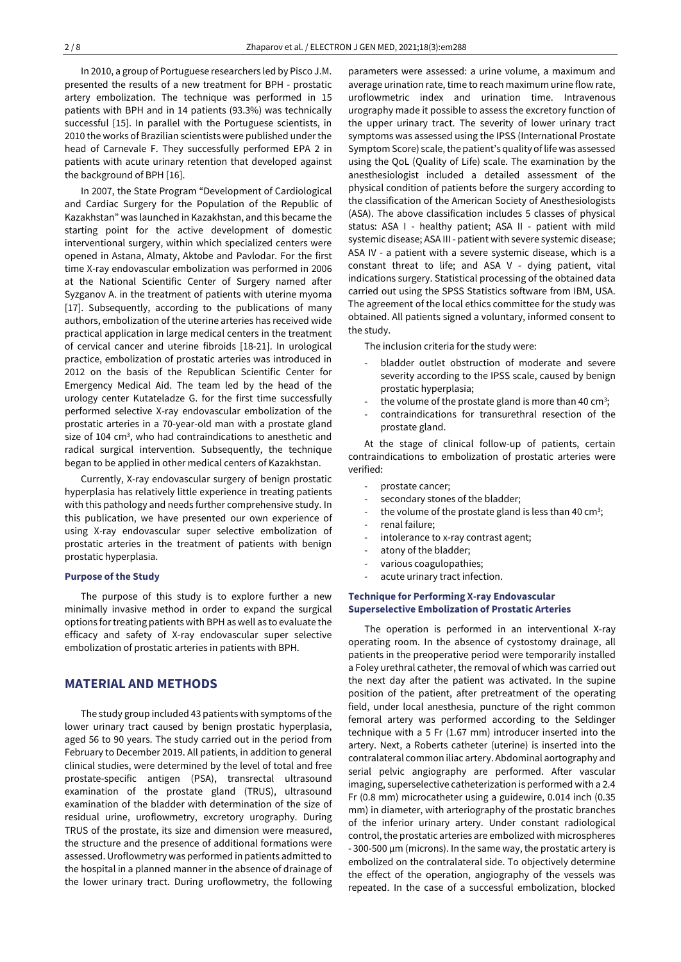In 2010, a group of Portuguese researchers led by Pisco J.M. presented the results of a new treatment for BPH - prostatic artery embolization. The technique was performed in 15 patients with BPH and in 14 patients (93.3%) was technically successful [15]. In parallel with the Portuguese scientists, in 2010 the works of Brazilian scientists were published underthe head of Carnevale F. They successfully performed EPA 2 in patients with acute urinary retention that developed against the background of BPH [16].

In 2007, the State Program "Development of Cardiological and Cardiac Surgery for the Population of the Republic of Kazakhstan" was launched in Kazakhstan, and this became the starting point for the active development of domestic interventional surgery, within which specialized centers were opened in Astana, Almaty, Aktobe and Pavlodar. For the first time X-ray endovascular embolization was performed in 2006 at the National Scientific Center of Surgery named after Syzganov A. in the treatment of patients with uterine myoma [17]. Subsequently, according to the publications of many authors, embolization of the uterine arteries has received wide practical application in large medical centers in the treatment of cervical cancer and uterine fibroids [18-21]. In urological practice, embolization of prostatic arteries was introduced in 2012 on the basis of the Republican Scientific Center for Emergency Medical Aid. The team led by the head of the urology center Kutateladze G. for the first time successfully performed selective X-ray endovascular embolization of the prostatic arteries in a 70-year-old man with a prostate gland size of 104 cm<sup>3</sup>, who had contraindications to anesthetic and radical surgical intervention. Subsequently, the technique began to be applied in other medical centers of Kazakhstan.

Currently, X-ray endovascular surgery of benign prostatic hyperplasia has relatively little experience in treating patients with this pathology and needs further comprehensive study. In this publication, we have presented our own experience of using X-ray endovascular super selective embolization of prostatic arteries in the treatment of patients with benign prostatic hyperplasia.

#### **Purpose of the Study**

The purpose of this study is to explore further a new minimally invasive method in order to expand the surgical options for treating patients with BPH as well as to evaluate the efficacy and safety of X-ray endovascular super selective embolization of prostatic arteries in patients with BPH.

# **MATERIAL AND METHODS**

The study group included 43 patients with symptoms of the lower urinary tract caused by benign prostatic hyperplasia, aged 56 to 90 years. The study carried out in the period from February to December 2019. All patients, in addition to general clinical studies, were determined by the level of total and free prostate-specific antigen (PSA), transrectal ultrasound examination of the prostate gland (TRUS), ultrasound examination of the bladder with determination of the size of residual urine, uroflowmetry, excretory urography. During TRUS of the prostate, its size and dimension were measured, the structure and the presence of additional formations were assessed. Uroflowmetry was performed in patients admitted to the hospital in a planned manner in the absence of drainage of the lower urinary tract. During uroflowmetry, the following

parameters were assessed: a urine volume, a maximum and average urination rate, time to reach maximum urine flow rate, uroflowmetric index and urination time. Intravenous urography made it possible to assess the excretory function of the upper urinary tract. The severity of lower urinary tract symptoms was assessed using the IPSS (International Prostate Symptom Score) scale, the patient's quality of life was assessed using the QoL (Quality of Life) scale. The examination by the anesthesiologist included a detailed assessment of the physical condition of patients before the surgery according to the classification of the American Society of Anesthesiologists (ASA). The above classification includes 5 classes of physical status: ASA I - healthy patient; ASA II - patient with mild systemic disease; ASA III - patient with severe systemic disease; ASA IV - a patient with a severe systemic disease, which is a constant threat to life; and ASA V - dying patient, vital indications surgery. Statistical processing of the obtained data carried out using the SPSS Statistics software from IBM, USA. The agreement of the local ethics committee for the study was obtained. All patients signed a voluntary, informed consent to the study.

The inclusion criteria for the study were:

- bladder outlet obstruction of moderate and severe severity according to the IPSS scale, caused by benign prostatic hyperplasia;
- the volume of the prostate gland is more than 40 cm<sup>3</sup>;
- contraindications for transurethral resection of the prostate gland.

At the stage of clinical follow-up of patients, certain contraindications to embolization of prostatic arteries were verified:

- prostate cancer;
- secondary stones of the bladder;
- the volume of the prostate gland is less than 40 cm<sup>3</sup>;
- renal failure;
- intolerance to x-ray contrast agent;
- atony of the bladder;
- various coagulopathies;
- acute urinary tract infection.

### **Technique for Performing X-ray Endovascular Superselective Embolization of Prostatic Arteries**

The operation is performed in an interventional X-ray operating room. In the absence of cystostomy drainage, all patients in the preoperative period were temporarily installed a Foley urethral catheter, the removal of which was carried out the next day after the patient was activated. In the supine position of the patient, after pretreatment of the operating field, under local anesthesia, puncture of the right common femoral artery was performed according to the Seldinger technique with a 5 Fr (1.67 mm) introducer inserted into the artery. Next, a Roberts catheter (uterine) is inserted into the contralateral common iliac artery. Abdominal aortography and serial pelvic angiography are performed. After vascular imaging, superselective catheterization is performed with a 2.4 Fr (0.8 mm) microcatheter using a guidewire, 0.014 inch (0.35 mm) in diameter, with arteriography of the prostatic branches of the inferior urinary artery. Under constant radiological control, the prostatic arteries are embolized with microspheres - 300-500 µm (microns). In the same way, the prostatic artery is embolized on the contralateral side. To objectively determine the effect of the operation, angiography of the vessels was repeated. In the case of a successful embolization, blocked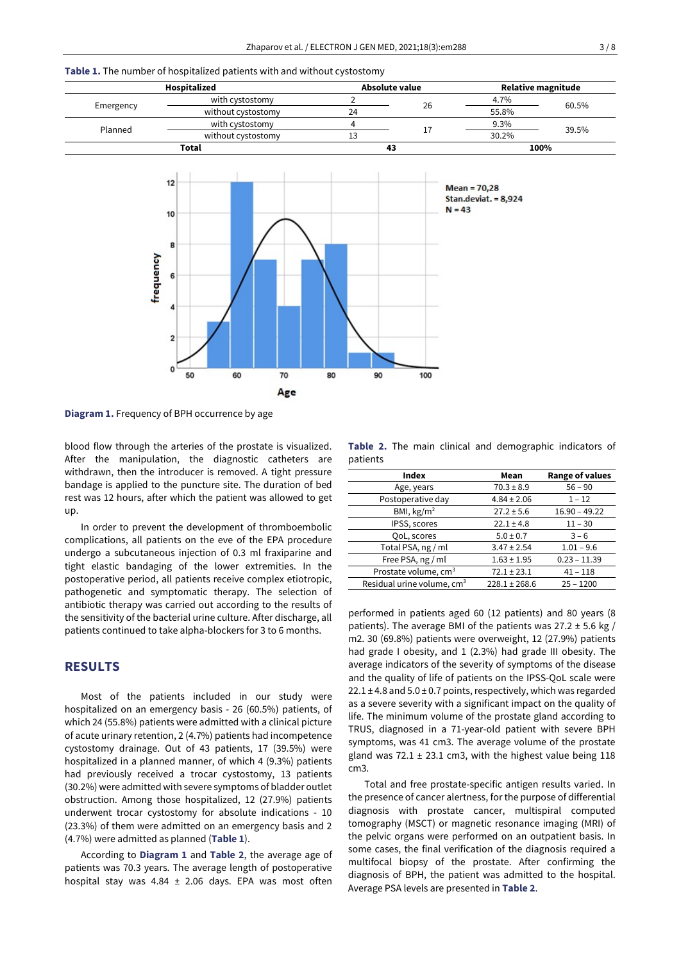#### **Table 1.** The number of hospitalized patients with and without cystostomy

| Hospitalized |                    | Absolute value |    | Relative magnitude |       |
|--------------|--------------------|----------------|----|--------------------|-------|
|              | with cystostomy    |                | 26 | 4.7%               | 60.5% |
| Emergency    | without cystostomy | 24             |    | 55.8%              |       |
| Planned      | with cystostomy    |                |    | 9.3%               | 39.5% |
|              | without cystostomy | 13             |    | 30.2%              |       |
| Total        |                    |                | 43 |                    | 100%  |



**Diagram 1.** Frequency of BPH occurrence by age

blood flow through the arteries of the prostate is visualized. After the manipulation, the diagnostic catheters are withdrawn, then the introducer is removed. A tight pressure bandage is applied to the puncture site. The duration of bed rest was 12 hours, after which the patient was allowed to get up.

In order to prevent the development of thromboembolic complications, all patients on the eve of the EPA procedure undergo a subcutaneous injection of 0.3 ml fraxiparine and tight elastic bandaging of the lower extremities. In the postoperative period, all patients receive complex etiotropic, pathogenetic and symptomatic therapy. The selection of antibiotic therapy was carried out according to the results of the sensitivity of the bacterial urine culture. After discharge, all patients continued to take alpha-blockers for 3 to 6 months.

## **RESULTS**

Most of the patients included in our study were hospitalized on an emergency basis - 26 (60.5%) patients, of which 24 (55.8%) patients were admitted with a clinical picture of acute urinary retention, 2 (4.7%) patients had incompetence cystostomy drainage. Out of 43 patients, 17 (39.5%) were hospitalized in a planned manner, of which 4 (9.3%) patients had previously received a trocar cystostomy, 13 patients (30.2%) were admitted with severe symptoms of bladder outlet obstruction. Among those hospitalized, 12 (27.9%) patients underwent trocar cystostomy for absolute indications - 10 (23.3%) of them were admitted on an emergency basis and 2 (4.7%) were admitted as planned (**Table 1**).

According to **Diagram 1** and **Table 2**, the average age of patients was 70.3 years. The average length of postoperative hospital stay was 4.84  $\pm$  2.06 days. EPA was most often

**Table 2.** The main clinical and demographic indicators of patients

| Mean              | <b>Range of values</b> |
|-------------------|------------------------|
| $70.3 \pm 8.9$    | $56 - 90$              |
| $4.84 \pm 2.06$   | $1 - 12$               |
| $27.2 \pm 5.6$    | $16.90 - 49.22$        |
| $22.1 \pm 4.8$    | $11 - 30$              |
| $5.0 \pm 0.7$     | $3 - 6$                |
| $3.47 \pm 2.54$   | $1.01 - 9.6$           |
| $1.63 \pm 1.95$   | $0.23 - 11.39$         |
| $72.1 \pm 23.1$   | $41 - 118$             |
| $228.1 \pm 268.6$ | $25 - 1200$            |
|                   |                        |

performed in patients aged 60 (12 patients) and 80 years (8 patients). The average BMI of the patients was  $27.2 \pm 5.6$  kg / m2. 30 (69.8%) patients were overweight, 12 (27.9%) patients had grade I obesity, and 1 (2.3%) had grade III obesity. The average indicators of the severity of symptoms of the disease and the quality of life of patients on the IPSS-QoL scale were  $22.1 \pm 4.8$  and  $5.0 \pm 0.7$  points, respectively, which was regarded as a severe severity with a significant impact on the quality of life. The minimum volume of the prostate gland according to TRUS, diagnosed in a 71-year-old patient with severe BPH symptoms, was 41 cm3. The average volume of the prostate gland was  $72.1 \pm 23.1$  cm3, with the highest value being 118 cm3.

Total and free prostate-specific antigen results varied. In the presence of cancer alertness, for the purpose of differential diagnosis with prostate cancer, multispiral computed tomography (MSCT) or magnetic resonance imaging (MRI) of the pelvic organs were performed on an outpatient basis. In some cases, the final verification of the diagnosis required a multifocal biopsy of the prostate. After confirming the diagnosis of BPH, the patient was admitted to the hospital. Average PSA levels are presented in **Table 2**.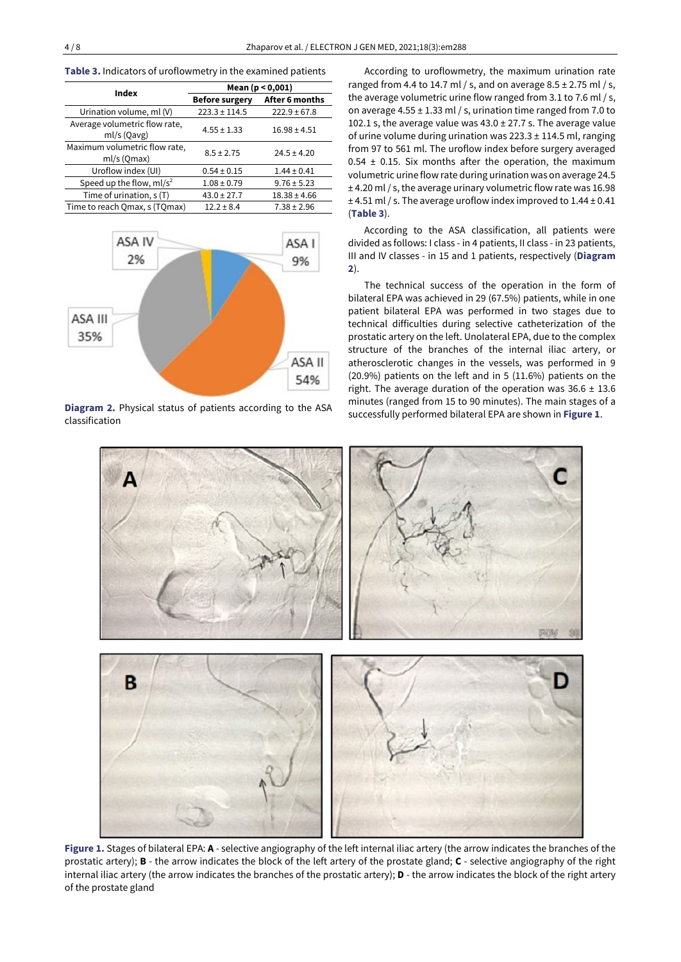| <b>Table 3.</b> Indicators of uroflowmetry in the examined patients |  |  |  |  |  |  |
|---------------------------------------------------------------------|--|--|--|--|--|--|
|---------------------------------------------------------------------|--|--|--|--|--|--|

| Index                                        | Mean $(p < 0,001)$    |                  |  |
|----------------------------------------------|-----------------------|------------------|--|
|                                              | <b>Before surgery</b> | After 6 months   |  |
| Urination volume, ml (V)                     | $223.3 \pm 114.5$     | $222.9 \pm 67.8$ |  |
| Average volumetric flow rate,<br>ml/s (Qavg) | $4.55 \pm 1.33$       | $16.98 \pm 4.51$ |  |
| Maximum volumetric flow rate,<br>ml/s (Qmax) | $8.5 \pm 2.75$        | $24.5 \pm 4.20$  |  |
| Uroflow index (UI)                           | $0.54 \pm 0.15$       | $1.44 \pm 0.41$  |  |
| Speed up the flow, $ml/s2$                   | $1.08 \pm 0.79$       | $9.76 \pm 5.23$  |  |
| Time of urination, s (T)                     | $43.0 \pm 27.7$       | $18.38 \pm 4.66$ |  |
| Time to reach Omax, s (TOmax)                | $12.2 \pm 8.4$        | $7.38 \pm 2.96$  |  |



**Diagram 2.** Physical status of patients according to the ASA classification

According to uroflowmetry, the maximum urination rate ranged from 4.4 to 14.7 ml / s, and on average  $8.5 \pm 2.75$  ml / s, the average volumetric urine flow ranged from 3.1 to 7.6 ml / s, on average 4.55 ± 1.33 ml / s, urination time ranged from 7.0 to 102.1 s, the average value was  $43.0 \pm 27.7$  s. The average value of urine volume during urination was  $223.3 \pm 114.5$  ml, ranging from 97 to 561 ml. The uroflow index before surgery averaged  $0.54 \pm 0.15$ . Six months after the operation, the maximum volumetric urine flow rate during urination was on average 24.5 ± 4.20 ml/ s, the average urinary volumetric flow rate was 16.98  $\pm$  4.51 ml / s. The average uroflow index improved to 1.44  $\pm$  0.41 (**Table 3**).

According to the ASA classification, all patients were divided as follows: I class - in 4 patients, II class - in 23 patients, III and IV classes - in 15 and 1 patients, respectively (**Diagram 2**).

The technical success of the operation in the form of bilateral EPA was achieved in 29 (67.5%) patients, while in one patient bilateral EPA was performed in two stages due to technical difficulties during selective catheterization of the prostatic artery on the left. Unolateral EPA, due to the complex structure of the branches of the internal iliac artery, or atherosclerotic changes in the vessels, was performed in 9 (20.9%) patients on the left and in 5 (11.6%) patients on the right. The average duration of the operation was  $36.6 \pm 13.6$ minutes (ranged from 15 to 90 minutes). The main stages of a successfully performed bilateral EPA are shown in **Figure 1**.



**Figure 1.** Stages of bilateral EPA: **А** - selective angiography of the left internal iliac artery (the arrow indicates the branches of the prostatic artery); **B** - the arrow indicates the block of the left artery of the prostate gland; **C** - selective angiography of the right internal iliac artery (the arrow indicates the branches of the prostatic artery); **D** - the arrow indicates the block of the right artery of the prostate gland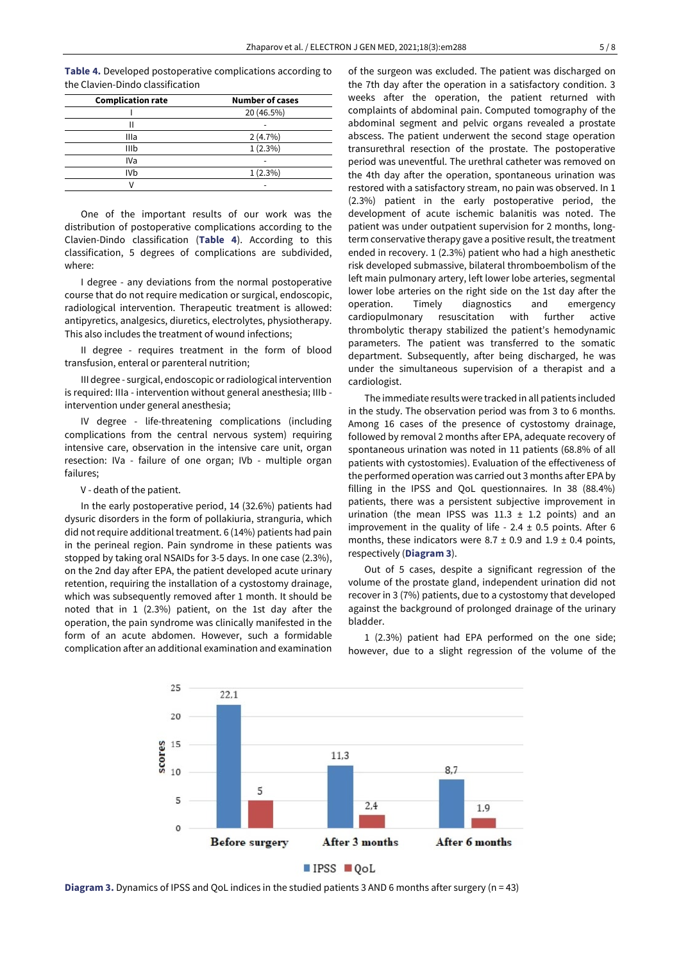**Table 4.** Developed postoperative complications according to the Clavien-Dindo classification

| <b>Complication rate</b> | <b>Number of cases</b> |
|--------------------------|------------------------|
|                          | 20 (46.5%)             |
|                          |                        |
| Illa                     | 2(4.7%)                |
| IIIb                     | $1(2.3\%)$             |
| IVa                      |                        |
| <b>IVb</b>               | $1(2.3\%)$             |
|                          |                        |

One of the important results of our work was the distribution of postoperative complications according to the Clavien-Dindo classification (**Table 4**). According to this classification, 5 degrees of complications are subdivided, where:

I degree - any deviations from the normal postoperative course that do not require medication or surgical, endoscopic, radiological intervention. Therapeutic treatment is allowed: antipyretics, analgesics, diuretics, electrolytes, physiotherapy. This also includes the treatment of wound infections;

II degree - requires treatment in the form of blood transfusion, enteral or parenteral nutrition;

III degree - surgical, endoscopic orradiological intervention is required: IIIa - intervention without general anesthesia; IIIb intervention under general anesthesia;

IV degree - life-threatening complications (including complications from the central nervous system) requiring intensive care, observation in the intensive care unit, organ resection: IVa - failure of one organ; IVb - multiple organ failures;

V - death of the patient.

In the early postoperative period, 14 (32.6%) patients had dysuric disorders in the form of pollakiuria, stranguria, which did not require additional treatment. 6 (14%) patients had pain in the perineal region. Pain syndrome in these patients was stopped by taking oral NSAIDs for 3-5 days. In one case (2.3%), on the 2nd day after EPA, the patient developed acute urinary retention, requiring the installation of a cystostomy drainage, which was subsequently removed after 1 month. It should be noted that in 1 (2.3%) patient, on the 1st day after the operation, the pain syndrome was clinically manifested in the form of an acute abdomen. However, such a formidable complication after an additional examination and examination of the surgeon was excluded. The patient was discharged on the 7th day after the operation in a satisfactory condition. 3 weeks after the operation, the patient returned with complaints of abdominal pain. Computed tomography of the abdominal segment and pelvic organs revealed a prostate abscess. The patient underwent the second stage operation transurethral resection of the prostate. The postoperative period was uneventful. The urethral catheter was removed on the 4th day after the operation, spontaneous urination was restored with a satisfactory stream, no pain was observed. In 1 (2.3%) patient in the early postoperative period, the development of acute ischemic balanitis was noted. The patient was under outpatient supervision for 2 months, longterm conservative therapy gave a positive result, the treatment ended in recovery. 1 (2.3%) patient who had a high anesthetic risk developed submassive, bilateral thromboembolism of the left main pulmonary artery, left lower lobe arteries, segmental lower lobe arteries on the right side on the 1st day after the operation. Timely diagnostics and emergency cardiopulmonary resuscitation with further active thrombolytic therapy stabilized the patient's hemodynamic parameters. The patient was transferred to the somatic department. Subsequently, after being discharged, he was under the simultaneous supervision of a therapist and a cardiologist.

The immediate results were tracked in all patients included in the study. The observation period was from 3 to 6 months. Among 16 cases of the presence of cystostomy drainage, followed by removal 2 months after EPA, adequate recovery of spontaneous urination was noted in 11 patients (68.8% of all patients with cystostomies). Evaluation of the effectiveness of the performed operation was carried out 3 months after EPA by filling in the IPSS and QoL questionnaires. In 38 (88.4%) patients, there was a persistent subjective improvement in urination (the mean IPSS was  $11.3 \pm 1.2$  points) and an improvement in the quality of life -  $2.4 \pm 0.5$  points. After 6 months, these indicators were 8.7  $\pm$  0.9 and 1.9  $\pm$  0.4 points, respectively (**Diagram 3**).

Out of 5 cases, despite a significant regression of the volume of the prostate gland, independent urination did not recover in 3 (7%) patients, due to a cystostomy that developed against the background of prolonged drainage of the urinary bladder.

1 (2.3%) patient had EPA performed on the one side; however, due to a slight regression of the volume of the



**Diagram 3.** Dynamics of IPSS and QoL indices in the studied patients 3 AND 6 months after surgery (n = 43)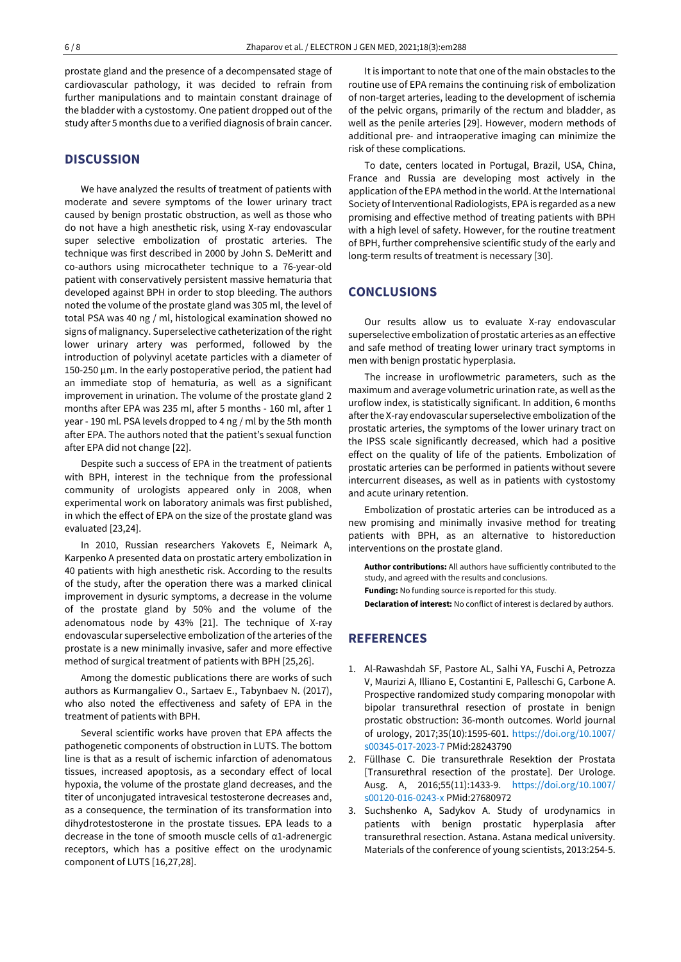prostate gland and the presence of a decompensated stage of cardiovascular pathology, it was decided to refrain from further manipulations and to maintain constant drainage of the bladder with a cystostomy. One patient dropped out of the study after 5 months due to a verified diagnosis of brain cancer.

## **DISCUSSION**

We have analyzed the results of treatment of patients with moderate and severe symptoms of the lower urinary tract caused by benign prostatic obstruction, as well as those who do not have a high anesthetic risk, using X-ray endovascular super selective embolization of prostatic arteries. The technique was first described in 2000 by John S. DeMeritt and co-authors using microcatheter technique to a 76-year-old patient with conservatively persistent massive hematuria that developed against BPH in order to stop bleeding. The authors noted the volume of the prostate gland was 305 ml, the level of total PSA was 40 ng / ml, histological examination showed no signs of malignancy. Superselective catheterization of the right lower urinary artery was performed, followed by the introduction of polyvinyl acetate particles with a diameter of 150-250 µm. In the early postoperative period, the patient had an immediate stop of hematuria, as well as a significant improvement in urination. The volume of the prostate gland 2 months after EPA was 235 ml, after 5 months - 160 ml, after 1 year - 190 ml. PSA levels dropped to 4 ng / ml by the 5th month after EPA. The authors noted that the patient's sexual function after EPA did not change [22].

Despite such a success of EPA in the treatment of patients with BPH, interest in the technique from the professional community of urologists appeared only in 2008, when experimental work on laboratory animals was first published, in which the effect of EPA on the size of the prostate gland was evaluated [23,24].

In 2010, Russian researchers Yakovets E, Neimark A, Karpenko A presented data on prostatic artery embolization in 40 patients with high anesthetic risk. According to the results of the study, after the operation there was a marked clinical improvement in dysuric symptoms, a decrease in the volume of the prostate gland by 50% and the volume of the adenomatous node by 43% [21]. The technique of X-ray endovascular superselective embolization of the arteries of the prostate is a new minimally invasive, safer and more effective method of surgical treatment of patients with BPH [25,26].

Among the domestic publications there are works of such authors as Kurmangaliev O., Sartaev E., Tabynbaev N. (2017), who also noted the effectiveness and safety of EPA in the treatment of patients with BPH.

Several scientific works have proven that EPA affects the pathogenetic components of obstruction in LUTS. The bottom line is that as a result of ischemic infarction of adenomatous tissues, increased apoptosis, as a secondary effect of local hypoxia, the volume of the prostate gland decreases, and the titer of unconjugated intravesical testosterone decreases and, as a consequence, the termination of its transformation into dihydrotestosterone in the prostate tissues. EPA leads to a decrease in the tone of smooth muscle cells of α1-adrenergic receptors, which has a positive effect on the urodynamic component of LUTS [16,27,28].

It is important to note that one of the main obstacles to the routine use of EPA remains the continuing risk of embolization of non-target arteries, leading to the development of ischemia of the pelvic organs, primarily of the rectum and bladder, as well as the penile arteries [29]. However, modern methods of additional pre- and intraoperative imaging can minimize the risk of these complications.

To date, centers located in Portugal, Brazil, USA, China, France and Russia are developing most actively in the application of the EPA method in the world. At the International Society of Interventional Radiologists, EPA is regarded as a new promising and effective method of treating patients with BPH with a high level of safety. However, for the routine treatment of BPH, further comprehensive scientific study of the early and long-term results of treatment is necessary [30].

## **CONCLUSIONS**

Our results allow us to evaluate X-ray endovascular superselective embolization of prostatic arteries as an effective and safe method of treating lower urinary tract symptoms in men with benign prostatic hyperplasia.

The increase in uroflowmetric parameters, such as the maximum and average volumetric urination rate, as well as the uroflow index, is statistically significant. In addition, 6 months after the X-ray endovascular superselective embolization of the prostatic arteries, the symptoms of the lower urinary tract on the IPSS scale significantly decreased, which had a positive effect on the quality of life of the patients. Embolization of prostatic arteries can be performed in patients without severe intercurrent diseases, as well as in patients with cystostomy and acute urinary retention.

Embolization of prostatic arteries can be introduced as a new promising and minimally invasive method for treating patients with BPH, as an alternative to historeduction interventions on the prostate gland.

**Author contributions:** All authors have sufficiently contributed to the study, and agreed with the results and conclusions. **Funding:** No funding source is reported for this study.

**Declaration of interest:** No conflict of interest is declared by authors.

# **REFERENCES**

- 1. Al-Rawashdah SF, Pastore AL, Salhi YA, Fuschi A, Petrozza V, Maurizi A, Illiano E, Costantini E, Palleschi G, Carbone A. Prospective randomized study comparing monopolar with bipolar transurethral resection of prostate in benign prostatic obstruction: 36-month outcomes. World journal of urology, 2017;35(10):1595-601. [https://doi.org/10.1007/](https://doi.org/10.1007/s00345-017-2023-7) [s00345-017-2023-7](https://doi.org/10.1007/s00345-017-2023-7) PMid:28243790
- 2. Füllhase C. Die transurethrale Resektion der Prostata [Transurethral resection of the prostate]. Der Urologe. Ausg. A, 2016;55(11):1433-9. [https://doi.org/10.1007/](https://doi.org/10.1007/s00120-016-0243-x) [s00120-016-0243-x](https://doi.org/10.1007/s00120-016-0243-x) PMid:27680972
- 3. Suchshenko А, Sadykov A. Study of urodynamics in patients with benign prostatic hyperplasia after transurethral resection. Astana. Astana medical university. Materials of the conference of young scientists, 2013:254-5.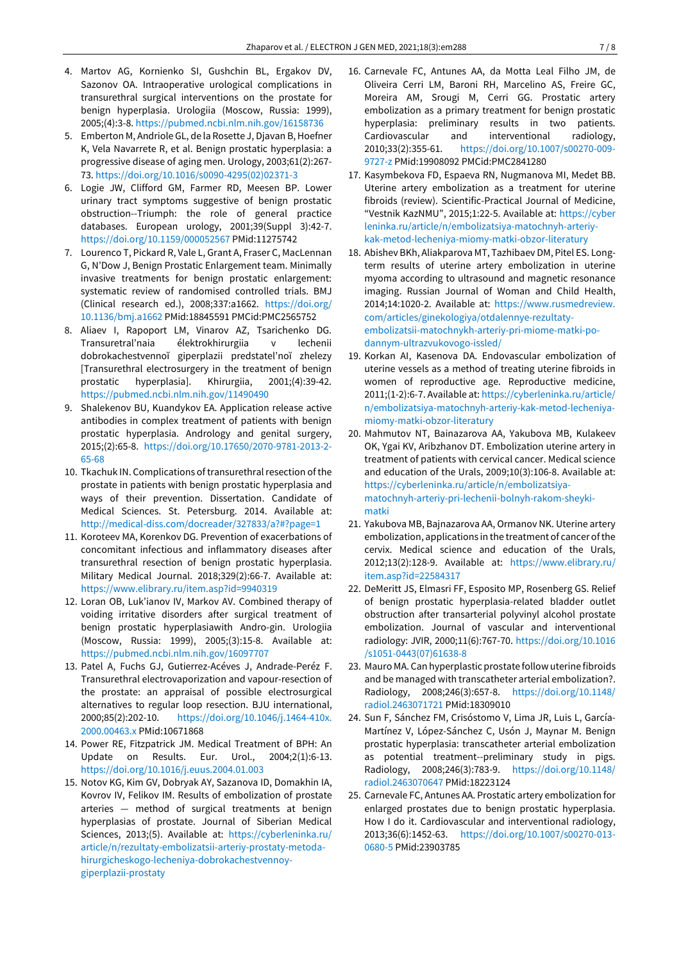- 4. Martov AG, Kornienko SI, Gushchin BL, Ergakov DV, Sazonov OA. Intraoperative urological complications in transurethral surgical interventions on the prostate for benign hyperplasia. Urologiia (Moscow, Russia: 1999), 2005;(4):3-8. <https://pubmed.ncbi.nlm.nih.gov/16158736>
- 5. Emberton M, Andriole GL, de la Rosette J, Djavan B, Hoefner K, Vela Navarrete R, et al. Benign prostatic hyperplasia: a progressive disease of aging men. Urology, 2003;61(2):267- 73. [https://doi.org/10.1016/s0090-4295\(02\)02371-3](https://doi.org/10.1016/s0090-4295(02)02371-3)
- 6. Logie JW, Clifford GM, Farmer RD, Meesen BP. Lower urinary tract symptoms suggestive of benign prostatic obstruction--Triumph: the role of general practice databases. European urology, 2001;39(Suppl 3):42-7. <https://doi.org/10.1159/000052567> PMid:11275742
- 7. Lourenco T, Pickard R, Vale L, Grant A, Fraser C, MacLennan G, N'Dow J, Benign Prostatic Enlargement team. Minimally invasive treatments for benign prostatic enlargement: systematic review of randomised controlled trials. BMJ (Clinical research ed.), 2008;337:a1662. [https://doi.org/](https://doi.org/10.1136/bmj.a1662) [10.1136/bmj.a1662](https://doi.org/10.1136/bmj.a1662) PMid:18845591 PMCid:PMC2565752
- 8. Aliaev I, Rapoport LM, Vinarov AZ, Tsarichenko DG. Transuretral'naia élektrokhirurgiia v lechenii dobrokachestvennoĭ giperplazii predstatel'noĭ zhelezy [Transurethral electrosurgery in the treatment of benign prostatic hyperplasia]. Khirurgiia, 2001;(4):39-42. <https://pubmed.ncbi.nlm.nih.gov/11490490>
- 9. Shalekenov BU, Kuandykov EA. Application release active antibodies in complex treatment of patients with benign prostatic hyperplasia. Andrology and genital surgery, 2015;(2):65-8. [https://doi.org/10.17650/2070-9781-2013-2-](https://doi.org/10.17650/2070-9781-2013-2-65-68) [65-68](https://doi.org/10.17650/2070-9781-2013-2-65-68)
- 10. Tkachuk IN. Complications of transurethral resection of the prostate in patients with benign prostatic hyperplasia and ways of their prevention. Dissertation. Candidate of Medical Sciences. St. Petersburg. 2014. Available at: <http://medical-diss.com/docreader/327833/a?#?page=1>
- 11. Koroteev MA, Korenkov DG. Prevention of exacerbations of concomitant infectious and inflammatory diseases after transurethral resection of benign prostatic hyperplasia. Military Medical Journal. 2018;329(2):66-7. Available at: <https://www.elibrary.ru/item.asp?id=9940319>
- 12. Loran OB, Luk'ianov IV, Markov AV. Combined therapy of voiding irritative disorders after surgical treatment of benign prostatic hyperplasiawith Andro-gin. Urologiia (Moscow, Russia: 1999), 2005;(3):15-8. Available at: <https://pubmed.ncbi.nlm.nih.gov/16097707>
- 13. Patel A, Fuchs GJ, Gutierrez-Acéves J, Andrade-Peréz F. Transurethral electrovaporization and vapour-resection of the prostate: an appraisal of possible electrosurgical alternatives to regular loop resection. BJU international, 2000;85(2):202-10. [https://doi.org/10.1046/j.1464-410x.](https://doi.org/10.1046/j.1464-410x.2000.00463.x) [2000.00463.x](https://doi.org/10.1046/j.1464-410x.2000.00463.x) PMid:10671868
- 14. Power RE, Fitzpatrick JM. Medical Treatment of BPH: An Update on Results. Eur. Urol., 2004;2(1):6-13. <https://doi.org/10.1016/j.euus.2004.01.003>
- 15. Notov KG, Kim GV, Dobryak AY, Sazanova ID, Domakhin IA, Kovrov IV, Felikov IM. Results of embolization of prostate arteries — method of surgical treatments at benign hyperplasias of prostate. Journal of Siberian Medical Sciences, 2013;(5). Available at: [https://cyberleninka.ru/](https://cyberleninka.ru/article/n/rezultaty-embolizatsii-arteriy-prostaty-metoda-hirurgicheskogo-lecheniya-dobrokachestvennoy-giperplazii-prostaty) [article/n/rezultaty-embolizatsii-arteriy-prostaty-metoda](https://cyberleninka.ru/article/n/rezultaty-embolizatsii-arteriy-prostaty-metoda-hirurgicheskogo-lecheniya-dobrokachestvennoy-giperplazii-prostaty)[hirurgicheskogo-lecheniya-dobrokachestvennoy](https://cyberleninka.ru/article/n/rezultaty-embolizatsii-arteriy-prostaty-metoda-hirurgicheskogo-lecheniya-dobrokachestvennoy-giperplazii-prostaty)[giperplazii-prostaty](https://cyberleninka.ru/article/n/rezultaty-embolizatsii-arteriy-prostaty-metoda-hirurgicheskogo-lecheniya-dobrokachestvennoy-giperplazii-prostaty)
- 16. Carnevale FC, Antunes AA, da Motta Leal Filho JM, de Oliveira Cerri LM, Baroni RH, Marcelino AS, Freire GC, Moreira AM, Srougi M, Cerri GG. Prostatic artery embolization as a primary treatment for benign prostatic hyperplasia: preliminary results in two patients. Cardiovascular and interventional radiology, 2010;33(2):355-61. [https://doi.org/10.1007/s00270-009-](https://doi.org/10.1007/s00270-009-9727-z) [9727-z](https://doi.org/10.1007/s00270-009-9727-z) PMid:19908092 PMCid:PMC2841280
- 17. Kasymbekova FD, Espaeva RN, Nugmanova MI, Medet BВ. Uterine artery embolization as a treatment for uterine fibroids (review). Scientific-Practical Journal of Medicine, "Vestnik KazNMU", 2015;1:22-5. Available at: [https://cyber](https://cyberleninka.ru/article/n/embolizatsiya-matochnyh-arteriy-kak-metod-lecheniya-miomy-matki-obzor-literatury) [leninka.ru/article/n/embolizatsiya-matochnyh-arteriy](https://cyberleninka.ru/article/n/embolizatsiya-matochnyh-arteriy-kak-metod-lecheniya-miomy-matki-obzor-literatury)[kak-metod-lecheniya-miomy-matki-obzor-literatury](https://cyberleninka.ru/article/n/embolizatsiya-matochnyh-arteriy-kak-metod-lecheniya-miomy-matki-obzor-literatury)
- 18. Abishev BKh, Aliakparova MT, Tazhibaev DM, Pitel ES. Longterm results of uterine artery embolization in uterine myoma according to ultrasound and magnetic resonance imaging. Russian Journal of Woman and Child Health, 2014;14:1020-2. Available at: [https://www.rusmedreview.](https://www.rusmedreview.com/articles/ginekologiya/otdalennye-rezultaty-embolizatsii-matochnykh-arteriy-pri-miome-matki-po-dannym-ultrazvukovogo-issled/) [com/articles/ginekologiya/otdalennye-rezultaty](https://www.rusmedreview.com/articles/ginekologiya/otdalennye-rezultaty-embolizatsii-matochnykh-arteriy-pri-miome-matki-po-dannym-ultrazvukovogo-issled/)[embolizatsii-matochnykh-arteriy-pri-miome-matki-po](https://www.rusmedreview.com/articles/ginekologiya/otdalennye-rezultaty-embolizatsii-matochnykh-arteriy-pri-miome-matki-po-dannym-ultrazvukovogo-issled/)[dannym-ultrazvukovogo-issled/](https://www.rusmedreview.com/articles/ginekologiya/otdalennye-rezultaty-embolizatsii-matochnykh-arteriy-pri-miome-matki-po-dannym-ultrazvukovogo-issled/)
- 19. Korkan AI, Kasenova DA. Endovascular embolization of uterine vessels as a method of treating uterine fibroids in women of reproductive age. Reproductive medicine, 2011;(1-2):6-7. Available at: [https://cyberleninka.ru/article/](https://cyberleninka.ru/article/n/embolizatsiya-matochnyh-arteriy-kak-metod-lecheniya-miomy-matki-obzor-literatury) [n/embolizatsiya-matochnyh-arteriy-kak-metod-lecheniya](https://cyberleninka.ru/article/n/embolizatsiya-matochnyh-arteriy-kak-metod-lecheniya-miomy-matki-obzor-literatury)[miomy-matki-obzor-literatury](https://cyberleninka.ru/article/n/embolizatsiya-matochnyh-arteriy-kak-metod-lecheniya-miomy-matki-obzor-literatury)
- 20. Mahmutov NT, Bainazarova AA, Yakubova MB, Kulakeev OK, Ygai KV, Aribzhanov DT. Embolization uterine artery in treatment of patients with cervical cancer. Medical science and education of the Urals, 2009;10(3):106-8. Available at: [https://cyberleninka.ru/article/n/embolizatsiya](https://cyberleninka.ru/article/n/embolizatsiya-matochnyh-arteriy-pri-lechenii-bolnyh-rakom-sheyki-matki)[matochnyh-arteriy-pri-lechenii-bolnyh-rakom-sheyki](https://cyberleninka.ru/article/n/embolizatsiya-matochnyh-arteriy-pri-lechenii-bolnyh-rakom-sheyki-matki)[matki](https://cyberleninka.ru/article/n/embolizatsiya-matochnyh-arteriy-pri-lechenii-bolnyh-rakom-sheyki-matki)
- 21. Yakubova MB, Bajnazarova AA, Ormanov NK. Uterine artery embolization, applications in the treatment of cancer ofthe cervix. Medical science and education of the Urals, 2012;13(2):128-9. Available at: [https://www.elibrary.ru/](https://www.elibrary.ru/item.asp?id=22584317) [item.asp?id=22584317](https://www.elibrary.ru/item.asp?id=22584317)
- 22. DeMeritt JS, Elmasri FF, Esposito MP, Rosenberg GS. Relief of benign prostatic hyperplasia-related bladder outlet obstruction after transarterial polyvinyl alcohol prostate embolization. Journal of vascular and interventional radiology: JVIR, 2000;11(6):767-70. [https://doi.org/10.1016](https://doi.org/10.1016/s1051-0443(07)61638-8) [/s1051-0443\(07\)61638-8](https://doi.org/10.1016/s1051-0443(07)61638-8)
- 23. Mauro MA. Can hyperplastic prostate follow uterine fibroids and be managed with transcatheter arterial embolization?. Radiology, 2008;246(3):657-8. [https://doi.org/10.1148/](https://doi.org/10.1148/radiol.2463071721) [radiol.2463071721](https://doi.org/10.1148/radiol.2463071721) PMid:18309010
- 24. Sun F, Sánchez FM, Crisóstomo V, Lima JR, Luis L, García-Martínez V, López-Sánchez C, Usón J, Maynar M. Benign prostatic hyperplasia: transcatheter arterial embolization as potential treatment--preliminary study in pigs. Radiology, 2008;246(3):783-9. [https://doi.org/10.1148/](https://doi.org/10.1148/radiol.2463070647) [radiol.2463070647](https://doi.org/10.1148/radiol.2463070647) PMid:18223124
- 25. Carnevale FC, Antunes AA. Prostatic artery embolization for enlarged prostates due to benign prostatic hyperplasia. How I do it. Cardiovascular and interventional radiology, 2013;36(6):1452-63. [https://doi.org/10.1007/s00270-013-](https://doi.org/10.1007/s00270-013-0680-5) [0680-5](https://doi.org/10.1007/s00270-013-0680-5) PMid:23903785